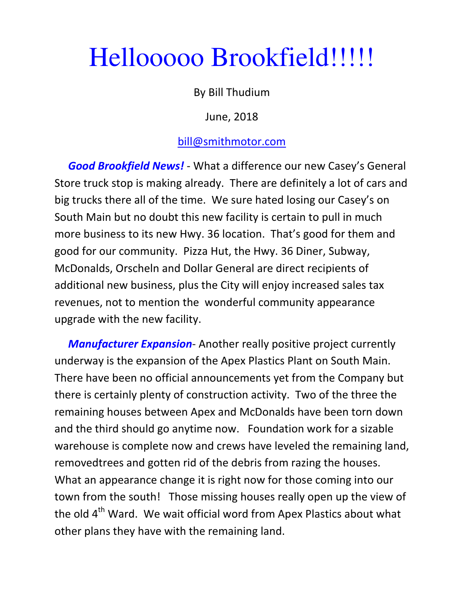## Hellooooo Brookfield!!!!!

## By Bill Thudium

June, 2018

## bill@smithmotor.com

Good Brookfield News! - What a difference our new Casey's General Store truck stop is making already. There are definitely a lot of cars and big trucks there all of the time. We sure hated losing our Casey's on South Main but no doubt this new facility is certain to pull in much more business to its new Hwy. 36 location. That's good for them and good for our community. Pizza Hut, the Hwy. 36 Diner, Subway, McDonalds, Orscheln and Dollar General are direct recipients of additional new business, plus the City will enjoy increased sales tax revenues, not to mention the wonderful community appearance upgrade with the new facility.

**Manufacturer Expansion-** Another really positive project currently underway is the expansion of the Apex Plastics Plant on South Main. There have been no official announcements yet from the Company but there is certainly plenty of construction activity. Two of the three the remaining houses between Apex and McDonalds have been torn down and the third should go anytime now. Foundation work for a sizable warehouse is complete now and crews have leveled the remaining land, removedtrees and gotten rid of the debris from razing the houses. What an appearance change it is right now for those coming into our town from the south! Those missing houses really open up the view of the old  $4<sup>th</sup>$  Ward. We wait official word from Apex Plastics about what other plans they have with the remaining land.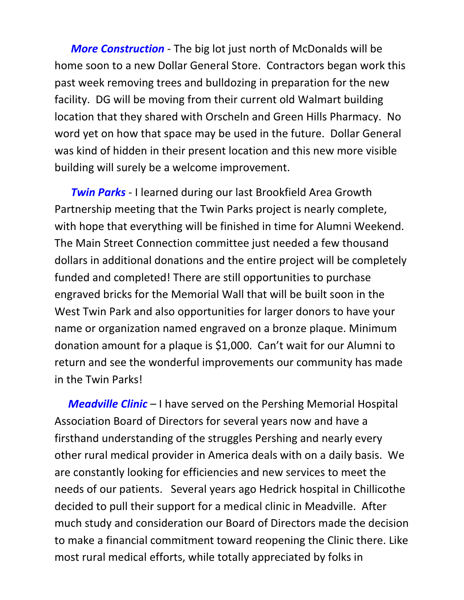More Construction - The big lot just north of McDonalds will be home soon to a new Dollar General Store. Contractors began work this past week removing trees and bulldozing in preparation for the new facility. DG will be moving from their current old Walmart building location that they shared with Orscheln and Green Hills Pharmacy. No word yet on how that space may be used in the future. Dollar General was kind of hidden in their present location and this new more visible building will surely be a welcome improvement.

**Twin Parks** - I learned during our last Brookfield Area Growth Partnership meeting that the Twin Parks project is nearly complete, with hope that everything will be finished in time for Alumni Weekend. The Main Street Connection committee just needed a few thousand dollars in additional donations and the entire project will be completely funded and completed! There are still opportunities to purchase engraved bricks for the Memorial Wall that will be built soon in the West Twin Park and also opportunities for larger donors to have your name or organization named engraved on a bronze plaque. Minimum donation amount for a plaque is \$1,000. Can't wait for our Alumni to return and see the wonderful improvements our community has made in the Twin Parks!

**Meadville Clinic** – I have served on the Pershing Memorial Hospital Association Board of Directors for several years now and have a firsthand understanding of the struggles Pershing and nearly every other rural medical provider in America deals with on a daily basis. We are constantly looking for efficiencies and new services to meet the needs of our patients. Several years ago Hedrick hospital in Chillicothe decided to pull their support for a medical clinic in Meadville. After much study and consideration our Board of Directors made the decision to make a financial commitment toward reopening the Clinic there. Like most rural medical efforts, while totally appreciated by folks in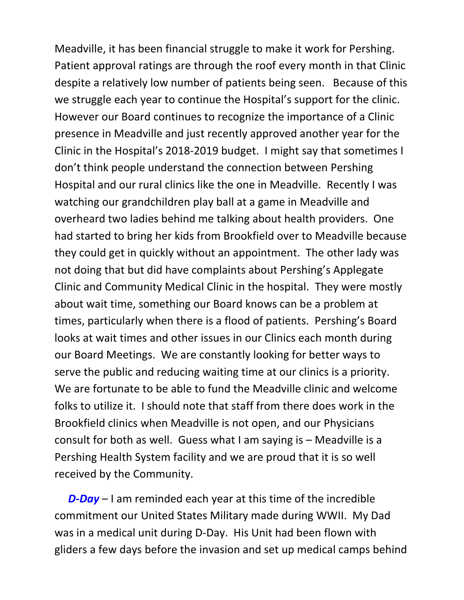Meadville, it has been financial struggle to make it work for Pershing. Patient approval ratings are through the roof every month in that Clinic despite a relatively low number of patients being seen. Because of this we struggle each year to continue the Hospital's support for the clinic. However our Board continues to recognize the importance of a Clinic presence in Meadville and just recently approved another year for the Clinic in the Hospital's 2018-2019 budget. I might say that sometimes I don't think people understand the connection between Pershing Hospital and our rural clinics like the one in Meadville. Recently I was watching our grandchildren play ball at a game in Meadville and overheard two ladies behind me talking about health providers. One had started to bring her kids from Brookfield over to Meadville because they could get in quickly without an appointment. The other lady was not doing that but did have complaints about Pershing's Applegate Clinic and Community Medical Clinic in the hospital. They were mostly about wait time, something our Board knows can be a problem at times, particularly when there is a flood of patients. Pershing's Board looks at wait times and other issues in our Clinics each month during our Board Meetings. We are constantly looking for better ways to serve the public and reducing waiting time at our clinics is a priority. We are fortunate to be able to fund the Meadville clinic and welcome folks to utilize it. I should note that staff from there does work in the Brookfield clinics when Meadville is not open, and our Physicians consult for both as well. Guess what I am saying is – Meadville is a Pershing Health System facility and we are proud that it is so well received by the Community.

 $D$ -Day – I am reminded each year at this time of the incredible commitment our United States Military made during WWII. My Dad was in a medical unit during D-Day. His Unit had been flown with gliders a few days before the invasion and set up medical camps behind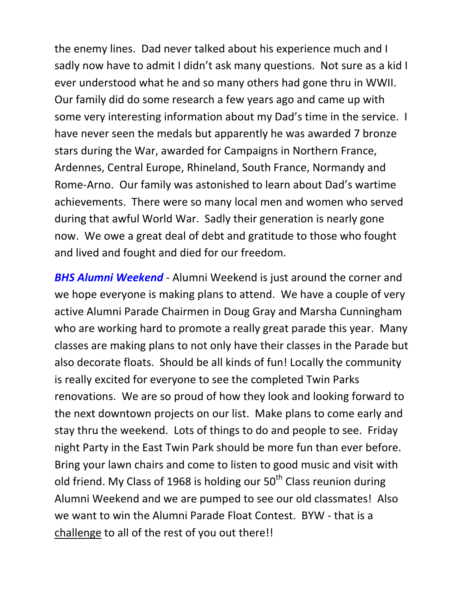the enemy lines. Dad never talked about his experience much and I sadly now have to admit I didn't ask many questions. Not sure as a kid I ever understood what he and so many others had gone thru in WWII. Our family did do some research a few years ago and came up with some very interesting information about my Dad's time in the service. I have never seen the medals but apparently he was awarded 7 bronze stars during the War, awarded for Campaigns in Northern France, Ardennes, Central Europe, Rhineland, South France, Normandy and Rome-Arno. Our family was astonished to learn about Dad's wartime achievements. There were so many local men and women who served during that awful World War. Sadly their generation is nearly gone now. We owe a great deal of debt and gratitude to those who fought and lived and fought and died for our freedom.

**BHS Alumni Weekend** - Alumni Weekend is just around the corner and we hope everyone is making plans to attend. We have a couple of very active Alumni Parade Chairmen in Doug Gray and Marsha Cunningham who are working hard to promote a really great parade this year. Many classes are making plans to not only have their classes in the Parade but also decorate floats. Should be all kinds of fun! Locally the community is really excited for everyone to see the completed Twin Parks renovations. We are so proud of how they look and looking forward to the next downtown projects on our list. Make plans to come early and stay thru the weekend. Lots of things to do and people to see. Friday night Party in the East Twin Park should be more fun than ever before. Bring your lawn chairs and come to listen to good music and visit with old friend. My Class of 1968 is holding our  $50<sup>th</sup>$  Class reunion during Alumni Weekend and we are pumped to see our old classmates! Also we want to win the Alumni Parade Float Contest. BYW - that is a challenge to all of the rest of you out there!!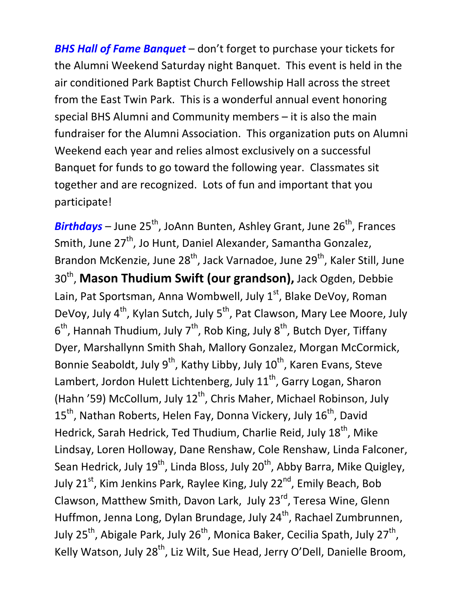**BHS Hall of Fame Banquet** – don't forget to purchase your tickets for the Alumni Weekend Saturday night Banquet. This event is held in the air conditioned Park Baptist Church Fellowship Hall across the street from the East Twin Park. This is a wonderful annual event honoring special BHS Alumni and Community members – it is also the main fundraiser for the Alumni Association. This organization puts on Alumni Weekend each year and relies almost exclusively on a successful Banquet for funds to go toward the following year. Classmates sit together and are recognized. Lots of fun and important that you participate!

**Birthdays** – June 25<sup>th</sup>, JoAnn Bunten, Ashley Grant, June 26<sup>th</sup>, Frances Smith, June 27<sup>th</sup>, Jo Hunt, Daniel Alexander, Samantha Gonzalez, Brandon McKenzie, June 28<sup>th</sup>, Jack Varnadoe, June 29<sup>th</sup>, Kaler Still, June 30<sup>th</sup>, Mason Thudium Swift (our grandson), Jack Ogden, Debbie Lain, Pat Sportsman, Anna Wombwell, July 1<sup>st</sup>, Blake DeVoy, Roman DeVoy, July 4<sup>th</sup>, Kylan Sutch, July 5<sup>th</sup>, Pat Clawson, Mary Lee Moore, July  $6<sup>th</sup>$ , Hannah Thudium, July 7<sup>th</sup>, Rob King, July 8<sup>th</sup>, Butch Dyer, Tiffany Dyer, Marshallynn Smith Shah, Mallory Gonzalez, Morgan McCormick, Bonnie Seaboldt, July  $9^{th}$ , Kathy Libby, July  $10^{th}$ , Karen Evans, Steve Lambert, Jordon Hulett Lichtenberg, July 11<sup>th</sup>, Garry Logan, Sharon (Hahn '59) McCollum, July  $12^{th}$ , Chris Maher, Michael Robinson, July  $15<sup>th</sup>$ , Nathan Roberts, Helen Fay, Donna Vickery, July  $16<sup>th</sup>$ , David Hedrick, Sarah Hedrick, Ted Thudium, Charlie Reid, July 18<sup>th</sup>, Mike Lindsay, Loren Holloway, Dane Renshaw, Cole Renshaw, Linda Falconer, Sean Hedrick, July  $19^{th}$ , Linda Bloss, July  $20^{th}$ , Abby Barra, Mike Quigley, July 21<sup>st</sup>, Kim Jenkins Park, Raylee King, July 22<sup>nd</sup>, Emily Beach, Bob Clawson, Matthew Smith, Davon Lark, July 23<sup>rd</sup>, Teresa Wine, Glenn Huffmon, Jenna Long, Dylan Brundage, July 24<sup>th</sup>, Rachael Zumbrunnen, July 25<sup>th</sup>, Abigale Park, July 26<sup>th</sup>, Monica Baker, Cecilia Spath, July 27<sup>th</sup>, Kelly Watson, July 28<sup>th</sup>, Liz Wilt, Sue Head, Jerry O'Dell, Danielle Broom,